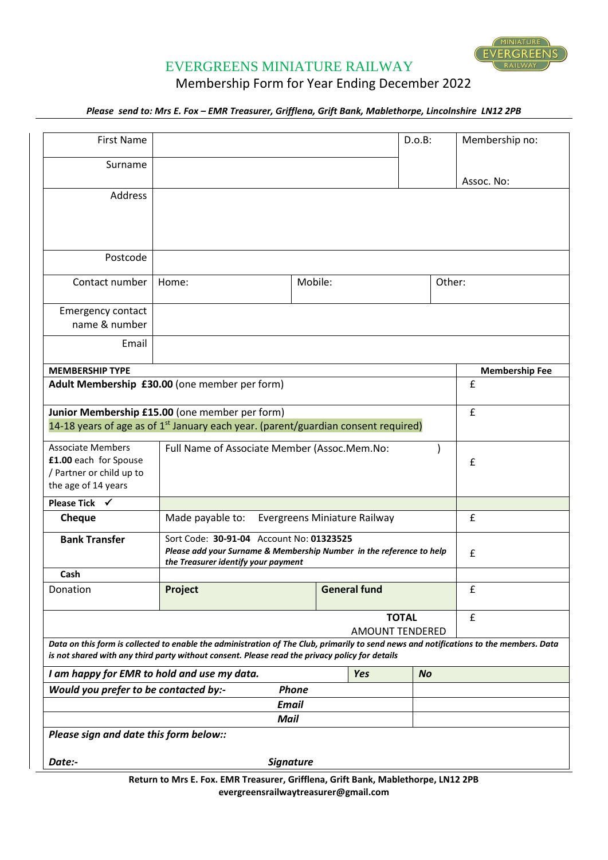

## EVERGREENS MINIATURE RAILWAY

Membership Form for Year Ending December 2022

*Please send to: Mrs E. Fox – EMR Treasurer, Grifflena, Grift Bank, Mablethorpe, Lincolnshire LN12 2PB* 

| <b>First Name</b>                                                                                    | D.o.B:                                                                                                                                                                                                                                   |                  |                     | Membership no: |                       |
|------------------------------------------------------------------------------------------------------|------------------------------------------------------------------------------------------------------------------------------------------------------------------------------------------------------------------------------------------|------------------|---------------------|----------------|-----------------------|
| Surname                                                                                              |                                                                                                                                                                                                                                          |                  |                     |                |                       |
|                                                                                                      |                                                                                                                                                                                                                                          |                  |                     |                | Assoc. No:            |
| Address                                                                                              |                                                                                                                                                                                                                                          |                  |                     |                |                       |
| Postcode                                                                                             |                                                                                                                                                                                                                                          |                  |                     |                |                       |
| Contact number                                                                                       | Home:                                                                                                                                                                                                                                    | Mobile:          |                     | Other:         |                       |
| <b>Emergency contact</b>                                                                             |                                                                                                                                                                                                                                          |                  |                     |                |                       |
| name & number                                                                                        |                                                                                                                                                                                                                                          |                  |                     |                |                       |
| Email                                                                                                |                                                                                                                                                                                                                                          |                  |                     |                |                       |
| <b>MEMBERSHIP TYPE</b>                                                                               |                                                                                                                                                                                                                                          |                  |                     |                | <b>Membership Fee</b> |
| Adult Membership £30.00 (one member per form)                                                        | £                                                                                                                                                                                                                                        |                  |                     |                |                       |
| Junior Membership £15.00 (one member per form)                                                       | £                                                                                                                                                                                                                                        |                  |                     |                |                       |
|                                                                                                      | 14-18 years of age as of 1 <sup>st</sup> January each year. (parent/guardian consent required)                                                                                                                                           |                  |                     |                |                       |
| <b>Associate Members</b><br>£1.00 each for Spouse<br>/ Partner or child up to<br>the age of 14 years | Full Name of Associate Member (Assoc.Mem.No:                                                                                                                                                                                             |                  |                     |                | £                     |
| Please Tick $\checkmark$                                                                             |                                                                                                                                                                                                                                          |                  |                     |                |                       |
| <b>Cheque</b>                                                                                        | Made payable to:<br>Evergreens Miniature Railway                                                                                                                                                                                         |                  |                     |                | £                     |
| <b>Bank Transfer</b>                                                                                 | Sort Code: 30-91-04 Account No: 01323525<br>Please add your Surname & Membership Number in the reference to help<br>the Treasurer identify your payment                                                                                  | £                |                     |                |                       |
| Cash                                                                                                 |                                                                                                                                                                                                                                          |                  |                     |                |                       |
| Donation                                                                                             | Project                                                                                                                                                                                                                                  |                  | <b>General fund</b> |                | £                     |
|                                                                                                      | £                                                                                                                                                                                                                                        |                  |                     |                |                       |
|                                                                                                      | Data on this form is collected to enable the administration of The Club, primarily to send news and notifications to the members. Data<br>is not shared with any third party without consent. Please read the privacy policy for details |                  |                     |                |                       |
| I am happy for EMR to hold and use my data.<br><b>Yes</b><br><b>No</b>                               |                                                                                                                                                                                                                                          |                  |                     |                |                       |
| Would you prefer to be contacted by:-                                                                |                                                                                                                                                                                                                                          | <b>Phone</b>     |                     |                |                       |
|                                                                                                      |                                                                                                                                                                                                                                          | <b>Email</b>     |                     |                |                       |
|                                                                                                      |                                                                                                                                                                                                                                          | <b>Mail</b>      |                     |                |                       |
| Please sign and date this form below::                                                               |                                                                                                                                                                                                                                          |                  |                     |                |                       |
| Date:-                                                                                               |                                                                                                                                                                                                                                          | <b>Signature</b> |                     |                |                       |
|                                                                                                      | Return to Mrs E. Fox. EMR Treasurer, Grifflena, Grift Bank, Mablethorpe, LN12 2PB                                                                                                                                                        |                  |                     |                |                       |

**evergreensrailwaytreasurer@gmail.com**